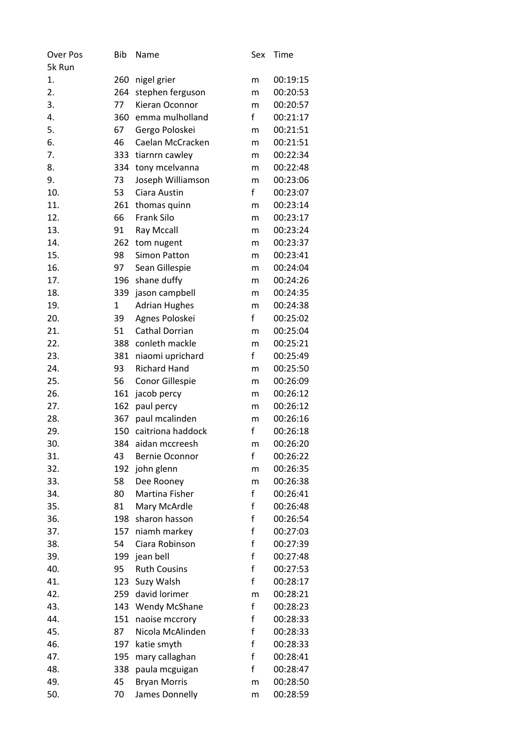| <b>Over Pos</b> | <b>Bib</b>   | Name                  | Sex          | Time     |
|-----------------|--------------|-----------------------|--------------|----------|
| 5k Run          |              |                       |              |          |
| 1.              | 260          | nigel grier           | m            | 00:19:15 |
| 2.              | 264          | stephen ferguson      | m            | 00:20:53 |
| 3.              | 77           | Kieran Oconnor        | m            | 00:20:57 |
| 4.              | 360          | emma mulholland       | $\mathsf{f}$ | 00:21:17 |
| 5.              | 67           | Gergo Poloskei        | m            | 00:21:51 |
| 6.              | 46           | Caelan McCracken      | m            | 00:21:51 |
| 7.              | 333          | tiarnrn cawley        | m            | 00:22:34 |
| 8.              | 334          | tony mcelvanna        | m            | 00:22:48 |
| 9.              | 73           | Joseph Williamson     | m            | 00:23:06 |
| 10.             | 53           | Ciara Austin          | f            | 00:23:07 |
| 11.             | 261          | thomas quinn          | m            | 00:23:14 |
| 12.             | 66           | <b>Frank Silo</b>     | m            | 00:23:17 |
| 13.             | 91           | Ray Mccall            | m            | 00:23:24 |
| 14.             | 262          | tom nugent            | m            | 00:23:37 |
| 15.             | 98           | <b>Simon Patton</b>   | m            | 00:23:41 |
| 16.             | 97           | Sean Gillespie        | m            | 00:24:04 |
| 17.             | 196          | shane duffy           | m            | 00:24:26 |
| 18.             | 339          | jason campbell        | m            | 00:24:35 |
| 19.             | $\mathbf{1}$ | <b>Adrian Hughes</b>  | m            | 00:24:38 |
| 20.             | 39           | Agnes Poloskei        | $\mathsf f$  | 00:25:02 |
| 21.             | 51           | <b>Cathal Dorrian</b> | m            | 00:25:04 |
| 22.             | 388          | conleth mackle        | m            | 00:25:21 |
| 23.             | 381          | niaomi uprichard      | f            | 00:25:49 |
| 24.             | 93           | <b>Richard Hand</b>   | m            | 00:25:50 |
| 25.             | 56           | Conor Gillespie       | m            | 00:26:09 |
| 26.             | 161          | jacob percy           | m            | 00:26:12 |
| 27.             | 162          | paul percy            | m            | 00:26:12 |
| 28.             | 367          | paul mcalinden        | m            | 00:26:16 |
| 29.             | 150          | caitriona haddock     | $\mathsf f$  | 00:26:18 |
| 30.             | 384          | aidan mccreesh        | m            | 00:26:20 |
| 31.             | 43           | <b>Bernie Oconnor</b> | f            | 00:26:22 |
| 32.             | 192          | john glenn            | m            | 00:26:35 |
| 33.             | 58           | Dee Rooney            | m            | 00:26:38 |
| 34.             | 80           | Martina Fisher        | $\mathsf f$  | 00:26:41 |
| 35.             | 81           | Mary McArdle          | $\mathsf f$  | 00:26:48 |
| 36.             | 198          | sharon hasson         | $\mathsf f$  | 00:26:54 |
| 37.             | 157          | niamh markey          | $\mathsf f$  | 00:27:03 |
| 38.             | 54           | Ciara Robinson        | f            | 00:27:39 |
| 39.             | 199          | jean bell             | $\mathsf f$  | 00:27:48 |
| 40.             | 95           | <b>Ruth Cousins</b>   | $\mathsf f$  | 00:27:53 |
| 41.             | 123          | Suzy Walsh            | $\mathsf f$  | 00:28:17 |
| 42.             | 259          | david lorimer         | m            | 00:28:21 |
| 43.             | 143          | <b>Wendy McShane</b>  | f            | 00:28:23 |
| 44.             | 151          | naoise mccrory        | f            | 00:28:33 |
| 45.             | 87           | Nicola McAlinden      | $\mathsf f$  | 00:28:33 |
| 46.             | 197          | katie smyth           | $\mathsf f$  | 00:28:33 |
| 47.             | 195          | mary callaghan        | $\mathsf f$  | 00:28:41 |
| 48.             | 338          | paula mcguigan        | $\mathsf f$  | 00:28:47 |
| 49.             | 45           | <b>Bryan Morris</b>   | m            | 00:28:50 |
| 50.             | 70           | James Donnelly        | m            | 00:28:59 |
|                 |              |                       |              |          |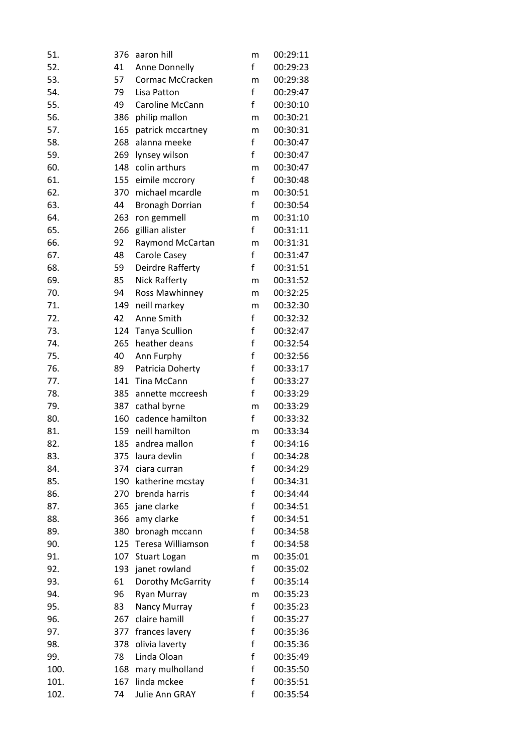| 51.  | 376 | aaron hill             | m            | 00:29:11 |
|------|-----|------------------------|--------------|----------|
| 52.  | 41  | Anne Donnelly          | f            | 00:29:23 |
| 53.  | 57  | Cormac McCracken       | m            | 00:29:38 |
| 54.  | 79  | Lisa Patton            | f            | 00:29:47 |
| 55.  | 49  | Caroline McCann        | f            | 00:30:10 |
| 56.  | 386 | philip mallon          | m            | 00:30:21 |
| 57.  | 165 | patrick mccartney      | m            | 00:30:31 |
| 58.  | 268 | alanna meeke           | f            | 00:30:47 |
| 59.  | 269 | lynsey wilson          | f            | 00:30:47 |
| 60.  |     | 148 colin arthurs      | m            | 00:30:47 |
| 61.  | 155 | eimile mccrory         | f            | 00:30:48 |
| 62.  | 370 | michael mcardle        | m            | 00:30:51 |
| 63.  | 44  | <b>Bronagh Dorrian</b> | f            | 00:30:54 |
| 64.  | 263 | ron gemmell            | m            | 00:31:10 |
| 65.  | 266 | gillian alister        | f            | 00:31:11 |
| 66.  | 92  | Raymond McCartan       | m            | 00:31:31 |
| 67.  | 48  | Carole Casey           | f            | 00:31:47 |
| 68.  | 59  | Deirdre Rafferty       | f            | 00:31:51 |
| 69.  | 85  | <b>Nick Rafferty</b>   | m            | 00:31:52 |
| 70.  | 94  | Ross Mawhinney         | m            | 00:32:25 |
| 71.  | 149 | neill markey           | m            | 00:32:30 |
| 72.  | 42  | Anne Smith             | $\mathsf f$  | 00:32:32 |
| 73.  | 124 | <b>Tanya Scullion</b>  | f            | 00:32:47 |
| 74.  | 265 | heather deans          | f            | 00:32:54 |
| 75.  | 40  | Ann Furphy             | f            | 00:32:56 |
| 76.  | 89  | Patricia Doherty       | f            | 00:33:17 |
| 77.  | 141 | Tina McCann            | f            | 00:33:27 |
| 78.  | 385 | annette mccreesh       | f            | 00:33:29 |
| 79.  | 387 | cathal byrne           | m            | 00:33:29 |
| 80.  |     | 160 cadence hamilton   | f            | 00:33:32 |
| 81.  | 159 | neill hamilton         | m            | 00:33:34 |
| 82.  | 185 | andrea mallon          | $\mathsf f$  | 00:34:16 |
| 83.  | 375 | laura devlin           | f            | 00:34:28 |
| 84.  | 374 | ciara curran           | f            | 00:34:29 |
| 85.  | 190 | katherine mcstay       | f            | 00:34:31 |
| 86.  |     | 270 brenda harris      | f            | 00:34:44 |
| 87.  | 365 | jane clarke            | f            | 00:34:51 |
| 88.  | 366 | amy clarke             | $\mathsf f$  | 00:34:51 |
| 89.  | 380 | bronagh mccann         | f            | 00:34:58 |
| 90.  | 125 | Teresa Williamson      | f            | 00:34:58 |
| 91.  | 107 | <b>Stuart Logan</b>    | m            | 00:35:01 |
| 92.  | 193 | janet rowland          | $\mathsf{f}$ | 00:35:02 |
| 93.  | 61  | Dorothy McGarrity      | f            | 00:35:14 |
| 94.  | 96  | Ryan Murray            | m            | 00:35:23 |
| 95.  | 83  | Nancy Murray           | $\mathsf f$  | 00:35:23 |
| 96.  | 267 | claire hamill          | f            | 00:35:27 |
| 97.  | 377 | frances lavery         | f            | 00:35:36 |
| 98.  | 378 | olivia laverty         | f            | 00:35:36 |
| 99.  | 78  | Linda Oloan            | f            | 00:35:49 |
| 100. | 168 | mary mulholland        | f            | 00:35:50 |
| 101. | 167 | linda mckee            | f            | 00:35:51 |
| 102. | 74  | Julie Ann GRAY         | f            | 00:35:54 |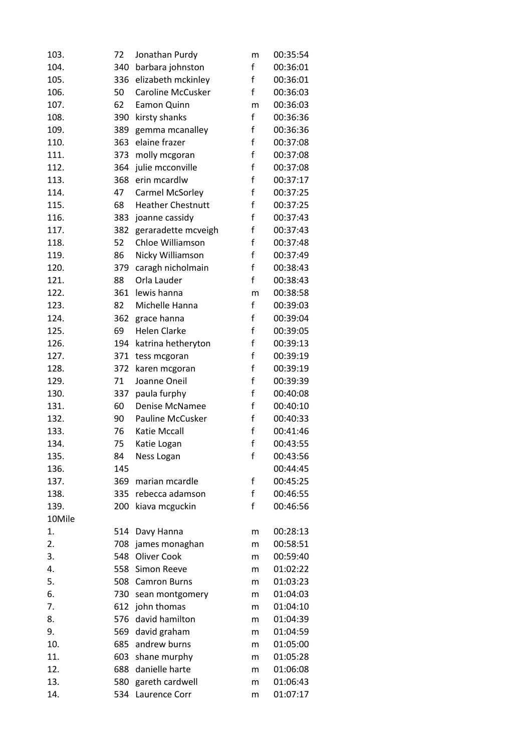| 103.             | 72  | Jonathan Purdy           | m | 00:35:54 |
|------------------|-----|--------------------------|---|----------|
| 104.             | 340 | barbara johnston         | f | 00:36:01 |
| 105.             | 336 | elizabeth mckinley       | f | 00:36:01 |
| 106.             | 50  | <b>Caroline McCusker</b> | f | 00:36:03 |
| 107.             | 62  | Eamon Quinn              | m | 00:36:03 |
| 108.             | 390 | kirsty shanks            | f | 00:36:36 |
| 109.             | 389 | gemma mcanalley          | f | 00:36:36 |
| 110.             | 363 | elaine frazer            | f | 00:37:08 |
| 111.             | 373 | molly mcgoran            | f | 00:37:08 |
| 112.             | 364 | julie mcconville         | f | 00:37:08 |
| 113.             | 368 | erin mcardlw             | f | 00:37:17 |
| 114.             | 47  | Carmel McSorley          | f | 00:37:25 |
| 115.             | 68  | <b>Heather Chestnutt</b> | f | 00:37:25 |
| 116.             | 383 | joanne cassidy           | f | 00:37:43 |
| 117.             | 382 | geraradette mcveigh      | f | 00:37:43 |
| 118.             | 52  | Chloe Williamson         | f | 00:37:48 |
| 119.             | 86  | Nicky Williamson         | f | 00:37:49 |
| 120.             | 379 | caragh nicholmain        | f | 00:38:43 |
| 121.             | 88  | Orla Lauder              | f | 00:38:43 |
| 122.             | 361 | lewis hanna              | m | 00:38:58 |
| 123.             | 82  | Michelle Hanna           | f | 00:39:03 |
| 124.             | 362 | grace hanna              | f | 00:39:04 |
| 125.             | 69  | <b>Helen Clarke</b>      | f | 00:39:05 |
| 126.             | 194 | katrina hetheryton       | f | 00:39:13 |
| 127.             | 371 | tess mcgoran             | f | 00:39:19 |
| 128.             | 372 | karen mcgoran            | f | 00:39:19 |
| 129.             | 71  | Joanne Oneil             | f | 00:39:39 |
| 130.             | 337 | paula furphy             | f | 00:40:08 |
| 131.             | 60  | Denise McNamee           | f | 00:40:10 |
| 132.             | 90  | Pauline McCusker         | f | 00:40:33 |
| 133.             | 76  | Katie Mccall             | f | 00:41:46 |
| 134.             | 75  | Katie Logan              | f | 00:43:55 |
| 135.             | 84  | Ness Logan               | f | 00:43:56 |
| 136.             | 145 |                          |   | 00:44:45 |
| 137.             | 369 | marian mcardle           | f | 00:45:25 |
| 138.             |     | 335 rebecca adamson      | f | 00:46:55 |
| 139.             | 200 | kiava mcguckin           | f | 00:46:56 |
| 10Mile           |     |                          |   |          |
| 1.               | 514 | Davy Hanna               | m | 00:28:13 |
| 2.               |     | 708 james monaghan       | m | 00:58:51 |
| $\overline{3}$ . | 548 | <b>Oliver Cook</b>       | m | 00:59:40 |
| 4.               |     | 558 Simon Reeve          | m | 01:02:22 |
| 5.               | 508 | <b>Camron Burns</b>      | m | 01:03:23 |
| 6.               | 730 | sean montgomery          | m | 01:04:03 |
| 7.               |     | 612 john thomas          | m | 01:04:10 |
| 8.               | 576 | david hamilton           | m | 01:04:39 |
| 9.               |     | 569 david graham         | m | 01:04:59 |
| 10.              |     | 685 andrew burns         | m | 01:05:00 |
| 11.              | 603 | shane murphy             | m | 01:05:28 |
| 12.              | 688 | danielle harte           | m | 01:06:08 |
| 13.              |     | 580 gareth cardwell      | m | 01:06:43 |
| 14.              | 534 | Laurence Corr            | m | 01:07:17 |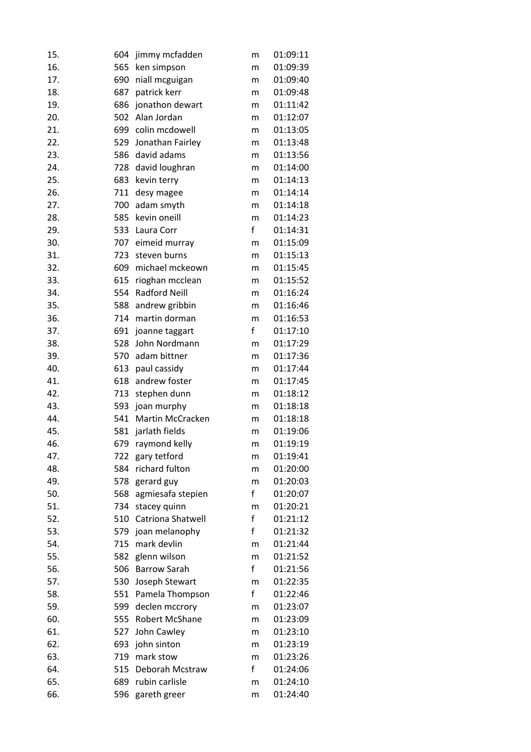| 15. | 604 | jimmy mcfadden          | m           | 01:09:11 |
|-----|-----|-------------------------|-------------|----------|
| 16. | 565 | ken simpson             | m           | 01:09:39 |
| 17. | 690 | niall mcguigan          | m           | 01:09:40 |
| 18. | 687 | patrick kerr            | m           | 01:09:48 |
| 19. | 686 | jonathon dewart         | m           | 01:11:42 |
| 20. | 502 | Alan Jordan             | m           | 01:12:07 |
| 21. |     | 699 colin mcdowell      | m           | 01:13:05 |
| 22. | 529 | Jonathan Fairley        | m           | 01:13:48 |
| 23. |     | 586 david adams         | m           | 01:13:56 |
| 24. |     | 728 david loughran      | m           | 01:14:00 |
| 25. | 683 | kevin terry             | m           | 01:14:13 |
| 26. | 711 | desy magee              | m           | 01:14:14 |
| 27. | 700 | adam smyth              | m           | 01:14:18 |
| 28. | 585 | kevin oneill            | m           | 01:14:23 |
| 29. |     | 533 Laura Corr          | f           | 01:14:31 |
| 30. | 707 | eimeid murray           | m           | 01:15:09 |
| 31. | 723 | steven burns            | m           | 01:15:13 |
| 32. | 609 | michael mckeown         | m           | 01:15:45 |
| 33. | 615 | rioghan mcclean         | m           | 01:15:52 |
| 34. | 554 | <b>Radford Neill</b>    | m           | 01:16:24 |
| 35. | 588 | andrew gribbin          | m           | 01:16:46 |
| 36. | 714 | martin dorman           | m           | 01:16:53 |
| 37. | 691 | joanne taggart          | f           | 01:17:10 |
| 38. | 528 | John Nordmann           | m           | 01:17:29 |
| 39. |     | 570 adam bittner        | m           | 01:17:36 |
| 40. | 613 | paul cassidy            | m           | 01:17:44 |
| 41. |     | 618 andrew foster       | m           | 01:17:45 |
| 42. | 713 | stephen dunn            | m           | 01:18:12 |
| 43. | 593 | joan murphy             | m           | 01:18:18 |
| 44. | 541 | <b>Martin McCracken</b> | m           | 01:18:18 |
| 45. | 581 | jarlath fields          | m           | 01:19:06 |
| 46. | 679 | raymond kelly           | m           | 01:19:19 |
| 47. | 722 | gary tetford            | m           | 01:19:41 |
| 48. | 584 | richard fulton          | m           | 01:20:00 |
| 49. | 578 | gerard guy              | m           | 01:20:03 |
| 50. | 568 | agmiesafa stepien       | f           | 01:20:07 |
| 51. | 734 | stacey quinn            | m           | 01:20:21 |
| 52. | 510 | Catriona Shatwell       | f           | 01:21:12 |
| 53. |     | 579 joan melanophy      | $\mathsf f$ | 01:21:32 |
| 54. | 715 | mark devlin             | m           | 01:21:44 |
| 55. | 582 | glenn wilson            | m           | 01:21:52 |
| 56. |     | 506 Barrow Sarah        | f           | 01:21:56 |
| 57. | 530 | Joseph Stewart          | m           | 01:22:35 |
| 58. | 551 | Pamela Thompson         | f           | 01:22:46 |
| 59. | 599 | declen mccrory          | m           | 01:23:07 |
| 60. | 555 | Robert McShane          | m           | 01:23:09 |
| 61. | 527 | John Cawley             | m           | 01:23:10 |
| 62. |     | 693 john sinton         | m           | 01:23:19 |
| 63. | 719 | mark stow               | m           | 01:23:26 |
| 64. | 515 | Deborah Mcstraw         | f           | 01:24:06 |
| 65. |     | 689 rubin carlisle      | m           | 01:24:10 |
| 66. | 596 | gareth greer            | m           | 01:24:40 |
|     |     |                         |             |          |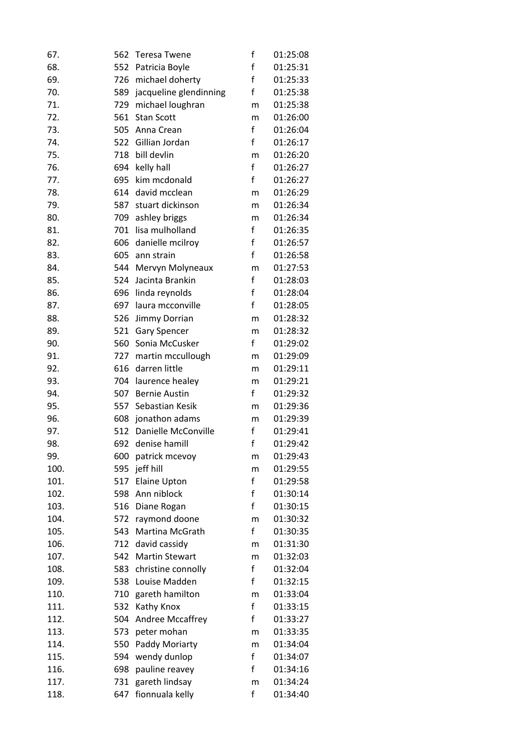| 67.  | 562 | <b>Teresa Twene</b>        | f            | 01:25:08 |
|------|-----|----------------------------|--------------|----------|
| 68.  | 552 | Patricia Boyle             | f            | 01:25:31 |
| 69.  | 726 | michael doherty            | f            | 01:25:33 |
| 70.  |     | 589 jacqueline glendinning | f            | 01:25:38 |
| 71.  | 729 | michael loughran           | m            | 01:25:38 |
| 72.  | 561 | <b>Stan Scott</b>          | m            | 01:26:00 |
| 73.  | 505 | Anna Crean                 | $\mathsf{f}$ | 01:26:04 |
| 74.  | 522 | Gillian Jordan             | f            | 01:26:17 |
| 75.  |     | 718 bill devlin            | m            | 01:26:20 |
| 76.  |     | 694 kelly hall             | $\mathsf{f}$ | 01:26:27 |
| 77.  | 695 | kim mcdonald               | $\mathsf f$  | 01:26:27 |
| 78.  | 614 | david mcclean              | m            | 01:26:29 |
| 79.  | 587 | stuart dickinson           | m            | 01:26:34 |
| 80.  | 709 | ashley briggs              | m            | 01:26:34 |
| 81.  |     | 701 lisa mulholland        | $\mathsf f$  | 01:26:35 |
| 82.  | 606 | danielle mcilroy           | $\mathsf f$  | 01:26:57 |
| 83.  | 605 | ann strain                 | $\mathsf{f}$ | 01:26:58 |
| 84.  | 544 | Mervyn Molyneaux           | m            | 01:27:53 |
| 85.  | 524 | Jacinta Brankin            | $\mathsf{f}$ | 01:28:03 |
| 86.  | 696 | linda reynolds             | $\mathsf{f}$ | 01:28:04 |
| 87.  | 697 | laura mcconville           | f            | 01:28:05 |
| 88.  | 526 | Jimmy Dorrian              | m            | 01:28:32 |
| 89.  | 521 | <b>Gary Spencer</b>        | m            | 01:28:32 |
| 90.  |     | 560 Sonia McCusker         | f            | 01:29:02 |
| 91.  |     | 727 martin mccullough      | m            | 01:29:09 |
| 92.  | 616 | darren little              | m            | 01:29:11 |
| 93.  |     | 704 laurence healey        | m            | 01:29:21 |
| 94.  | 507 | <b>Bernie Austin</b>       | f            | 01:29:32 |
| 95.  | 557 | Sebastian Kesik            | m            | 01:29:36 |
| 96.  |     | 608 jonathon adams         | m            | 01:29:39 |
| 97.  | 512 | Danielle McConville        | f            | 01:29:41 |
| 98.  | 692 | denise hamill              | f            | 01:29:42 |
| 99.  | 600 | patrick mcevoy             | m            | 01:29:43 |
| 100. | 595 | jeff hill                  | m            | 01:29:55 |
| 101. | 517 | <b>Elaine Upton</b>        | f            | 01:29:58 |
| 102. |     | 598 Ann niblock            | $\mathsf f$  | 01:30:14 |
| 103. | 516 | Diane Rogan                | f            | 01:30:15 |
| 104. | 572 | raymond doone              | m            | 01:30:32 |
| 105. | 543 | Martina McGrath            | f            | 01:30:35 |
| 106. | 712 | david cassidy              | m            | 01:31:30 |
| 107. | 542 | <b>Martin Stewart</b>      | m            | 01:32:03 |
| 108. | 583 | christine connolly         | $\mathsf f$  | 01:32:04 |
| 109. | 538 | Louise Madden              | f            | 01:32:15 |
| 110. | 710 | gareth hamilton            | m            | 01:33:04 |
| 111. | 532 | Kathy Knox                 | $\mathsf{f}$ | 01:33:15 |
| 112. | 504 | Andree Mccaffrey           | f            | 01:33:27 |
| 113. | 573 | peter mohan                | m            | 01:33:35 |
| 114. | 550 | Paddy Moriarty             | m            | 01:34:04 |
| 115. | 594 | wendy dunlop               | $\mathsf f$  | 01:34:07 |
| 116. | 698 | pauline reavey             | f            | 01:34:16 |
| 117. | 731 | gareth lindsay             | m            | 01:34:24 |
| 118. | 647 | fionnuala kelly            | f            | 01:34:40 |
|      |     |                            |              |          |